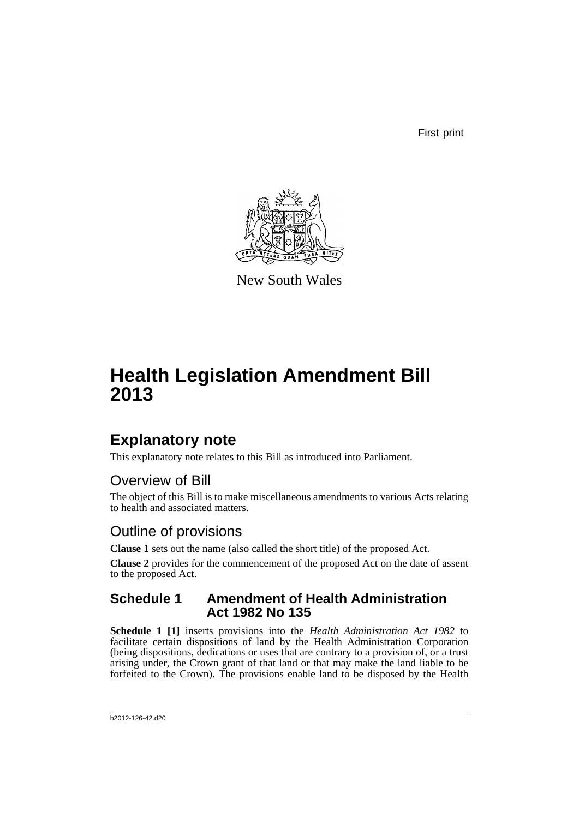First print



New South Wales

# **Health Legislation Amendment Bill 2013**

# **Explanatory note**

This explanatory note relates to this Bill as introduced into Parliament.

# Overview of Bill

The object of this Bill is to make miscellaneous amendments to various Acts relating to health and associated matters.

# Outline of provisions

**Clause 1** sets out the name (also called the short title) of the proposed Act.

**Clause 2** provides for the commencement of the proposed Act on the date of assent to the proposed Act.

## **Schedule 1 Amendment of Health Administration Act 1982 No 135**

**Schedule 1 [1]** inserts provisions into the *Health Administration Act 1982* to facilitate certain dispositions of land by the Health Administration Corporation (being dispositions, dedications or uses that are contrary to a provision of, or a trust arising under, the Crown grant of that land or that may make the land liable to be forfeited to the Crown). The provisions enable land to be disposed by the Health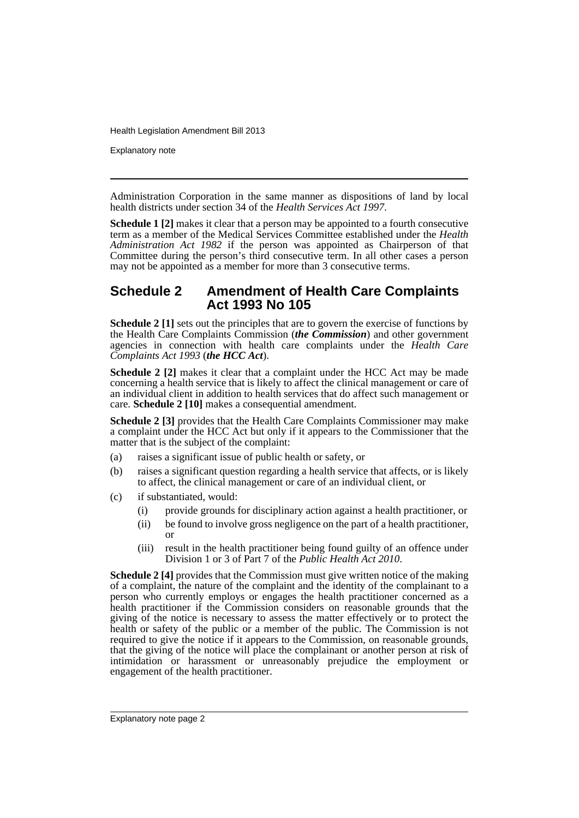Explanatory note

Administration Corporation in the same manner as dispositions of land by local health districts under section 34 of the *Health Services Act 1997*.

**Schedule 1 [2]** makes it clear that a person may be appointed to a fourth consecutive term as a member of the Medical Services Committee established under the *Health Administration Act 1982* if the person was appointed as Chairperson of that Committee during the person's third consecutive term. In all other cases a person may not be appointed as a member for more than 3 consecutive terms.

#### **Schedule 2 Amendment of Health Care Complaints Act 1993 No 105**

**Schedule 2 [1]** sets out the principles that are to govern the exercise of functions by the Health Care Complaints Commission (*the Commission*) and other government agencies in connection with health care complaints under the *Health Care Complaints Act 1993* (*the HCC Act*).

**Schedule 2 [2]** makes it clear that a complaint under the HCC Act may be made concerning a health service that is likely to affect the clinical management or care of an individual client in addition to health services that do affect such management or care. **Schedule 2 [10]** makes a consequential amendment.

**Schedule 2 [3]** provides that the Health Care Complaints Commissioner may make a complaint under the HCC Act but only if it appears to the Commissioner that the matter that is the subject of the complaint:

- (a) raises a significant issue of public health or safety, or
- (b) raises a significant question regarding a health service that affects, or is likely to affect, the clinical management or care of an individual client, or
- (c) if substantiated, would:
	- (i) provide grounds for disciplinary action against a health practitioner, or
	- (ii) be found to involve gross negligence on the part of a health practitioner, or
	- (iii) result in the health practitioner being found guilty of an offence under Division 1 or 3 of Part 7 of the *Public Health Act 2010*.

**Schedule 2 [4]** provides that the Commission must give written notice of the making of a complaint, the nature of the complaint and the identity of the complainant to a person who currently employs or engages the health practitioner concerned as a health practitioner if the Commission considers on reasonable grounds that the giving of the notice is necessary to assess the matter effectively or to protect the health or safety of the public or a member of the public. The Commission is not required to give the notice if it appears to the Commission, on reasonable grounds, that the giving of the notice will place the complainant or another person at risk of intimidation or harassment or unreasonably prejudice the employment or engagement of the health practitioner.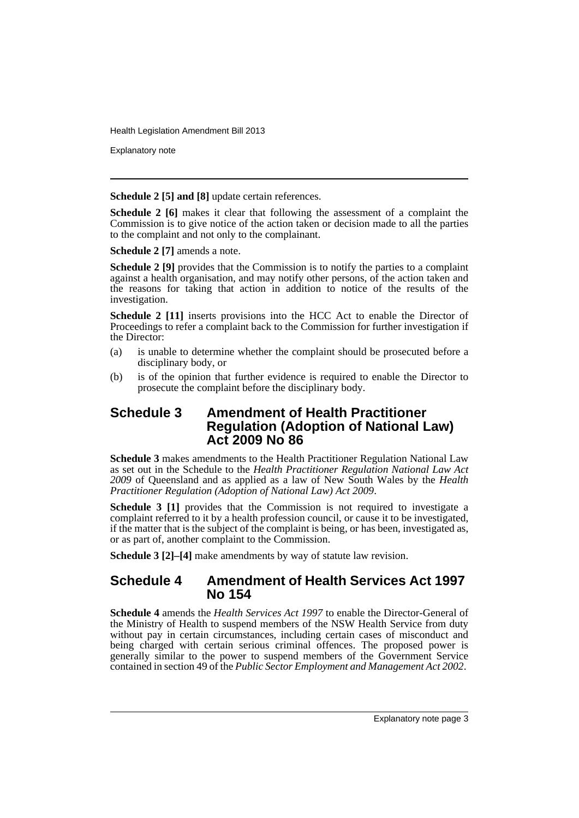Explanatory note

**Schedule 2 [5] and [8]** update certain references.

**Schedule 2** [6] makes it clear that following the assessment of a complaint the Commission is to give notice of the action taken or decision made to all the parties to the complaint and not only to the complainant.

**Schedule 2 [7]** amends a note.

**Schedule 2 [9]** provides that the Commission is to notify the parties to a complaint against a health organisation, and may notify other persons, of the action taken and the reasons for taking that action in addition to notice of the results of the investigation.

**Schedule 2 [11]** inserts provisions into the HCC Act to enable the Director of Proceedings to refer a complaint back to the Commission for further investigation if the Director:

- (a) is unable to determine whether the complaint should be prosecuted before a disciplinary body, or
- (b) is of the opinion that further evidence is required to enable the Director to prosecute the complaint before the disciplinary body.

## **Schedule 3 Amendment of Health Practitioner Regulation (Adoption of National Law) Act 2009 No 86**

**Schedule 3** makes amendments to the Health Practitioner Regulation National Law as set out in the Schedule to the *Health Practitioner Regulation National Law Act 2009* of Queensland and as applied as a law of New South Wales by the *Health Practitioner Regulation (Adoption of National Law) Act 2009*.

**Schedule 3 [1]** provides that the Commission is not required to investigate a complaint referred to it by a health profession council, or cause it to be investigated, if the matter that is the subject of the complaint is being, or has been, investigated as, or as part of, another complaint to the Commission.

**Schedule 3 [2]–[4]** make amendments by way of statute law revision.

## **Schedule 4 Amendment of Health Services Act 1997 No 154**

**Schedule 4** amends the *Health Services Act 1997* to enable the Director-General of the Ministry of Health to suspend members of the NSW Health Service from duty without pay in certain circumstances, including certain cases of misconduct and being charged with certain serious criminal offences. The proposed power is generally similar to the power to suspend members of the Government Service contained in section 49 of the *Public Sector Employment and Management Act 2002*.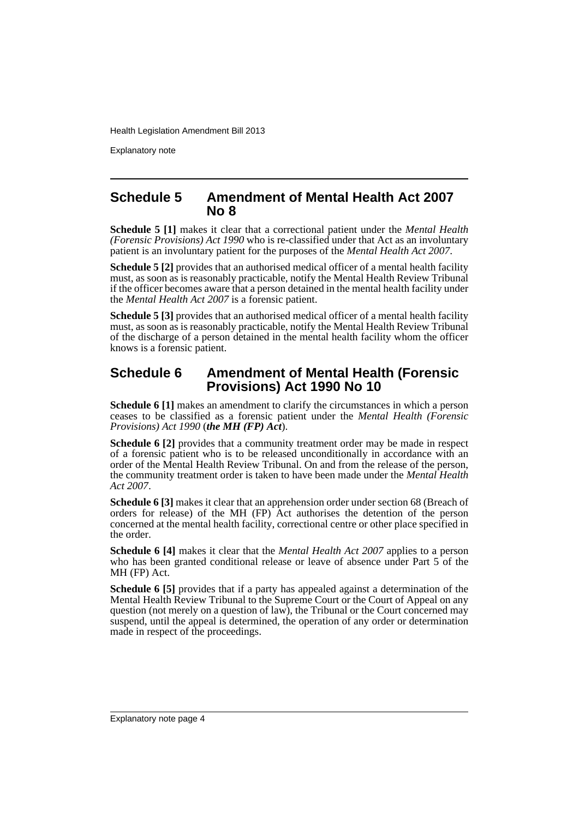Explanatory note

#### **Schedule 5 Amendment of Mental Health Act 2007 No 8**

**Schedule 5 [1]** makes it clear that a correctional patient under the *Mental Health (Forensic Provisions) Act 1990* who is re-classified under that Act as an involuntary patient is an involuntary patient for the purposes of the *Mental Health Act 2007*.

**Schedule 5 [2]** provides that an authorised medical officer of a mental health facility must, as soon as is reasonably practicable, notify the Mental Health Review Tribunal if the officer becomes aware that a person detained in the mental health facility under the *Mental Health Act 2007* is a forensic patient.

**Schedule 5 [3]** provides that an authorised medical officer of a mental health facility must, as soon as is reasonably practicable, notify the Mental Health Review Tribunal of the discharge of a person detained in the mental health facility whom the officer knows is a forensic patient.

## **Schedule 6 Amendment of Mental Health (Forensic Provisions) Act 1990 No 10**

**Schedule 6 [1]** makes an amendment to clarify the circumstances in which a person ceases to be classified as a forensic patient under the *Mental Health (Forensic Provisions) Act 1990* (*the MH (FP) Act*).

**Schedule 6 [2]** provides that a community treatment order may be made in respect of a forensic patient who is to be released unconditionally in accordance with an order of the Mental Health Review Tribunal. On and from the release of the person, the community treatment order is taken to have been made under the *Mental Health Act 2007*.

**Schedule 6 [3]** makes it clear that an apprehension order under section 68 (Breach of orders for release) of the MH (FP) Act authorises the detention of the person concerned at the mental health facility, correctional centre or other place specified in the order.

**Schedule 6 [4]** makes it clear that the *Mental Health Act 2007* applies to a person who has been granted conditional release or leave of absence under Part 5 of the MH (FP) Act.

**Schedule 6 [5]** provides that if a party has appealed against a determination of the Mental Health Review Tribunal to the Supreme Court or the Court of Appeal on any question (not merely on a question of law), the Tribunal or the Court concerned may suspend, until the appeal is determined, the operation of any order or determination made in respect of the proceedings.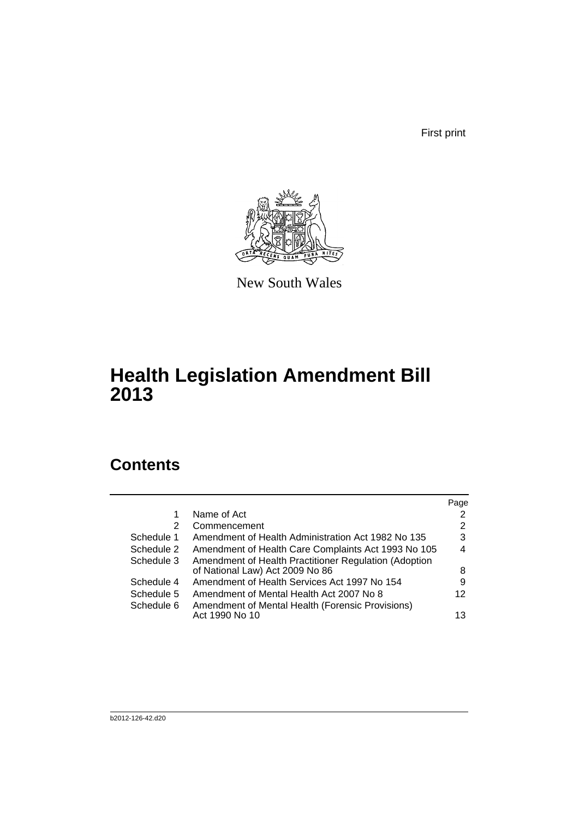First print



New South Wales

# **Health Legislation Amendment Bill 2013**

# **Contents**

|            |                                                       | Page |
|------------|-------------------------------------------------------|------|
|            | Name of Act                                           | 2    |
| 2          | Commencement                                          | 2    |
| Schedule 1 | Amendment of Health Administration Act 1982 No 135    | 3    |
| Schedule 2 | Amendment of Health Care Complaints Act 1993 No 105   | 4    |
| Schedule 3 | Amendment of Health Practitioner Regulation (Adoption |      |
|            | of National Law) Act 2009 No 86                       | 8    |
| Schedule 4 | Amendment of Health Services Act 1997 No 154          | 9    |
| Schedule 5 | Amendment of Mental Health Act 2007 No 8              | 12   |
| Schedule 6 | Amendment of Mental Health (Forensic Provisions)      |      |
|            | Act 1990 No 10                                        | 13   |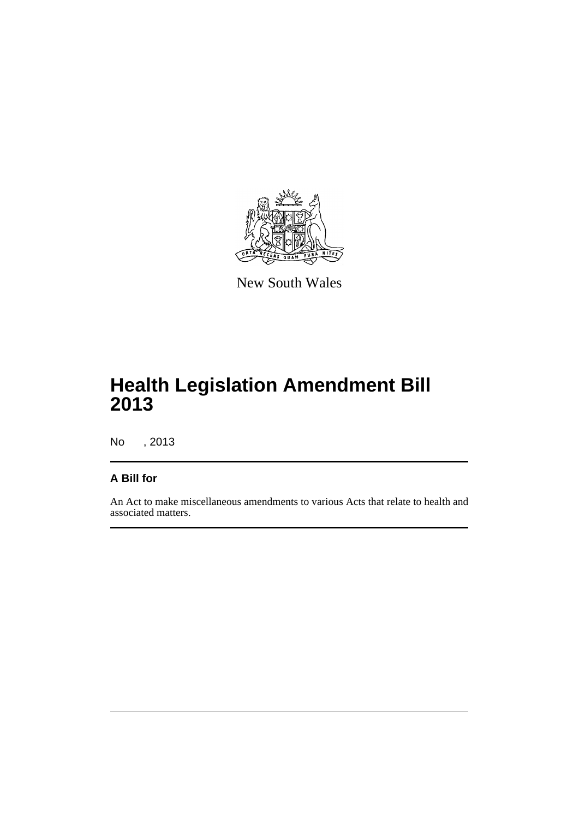

New South Wales

# **Health Legislation Amendment Bill 2013**

No , 2013

## **A Bill for**

An Act to make miscellaneous amendments to various Acts that relate to health and associated matters.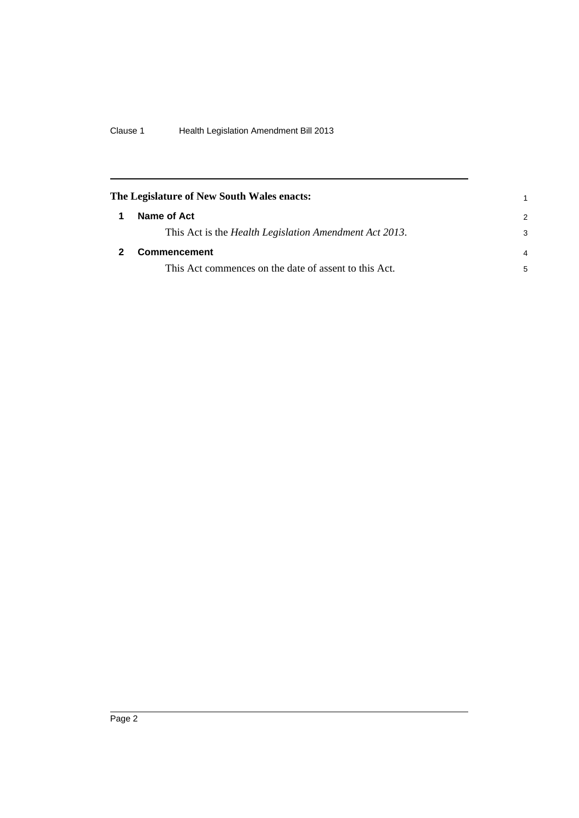<span id="page-7-1"></span><span id="page-7-0"></span>

| The Legislature of New South Wales enacts: |                                                                |                |
|--------------------------------------------|----------------------------------------------------------------|----------------|
|                                            | Name of Act                                                    | $\mathcal{P}$  |
|                                            | This Act is the <i>Health Legislation Amendment Act 2013</i> . | 3              |
|                                            | <b>Commencement</b>                                            | $\overline{4}$ |
|                                            | This Act commences on the date of assent to this Act.          | 5              |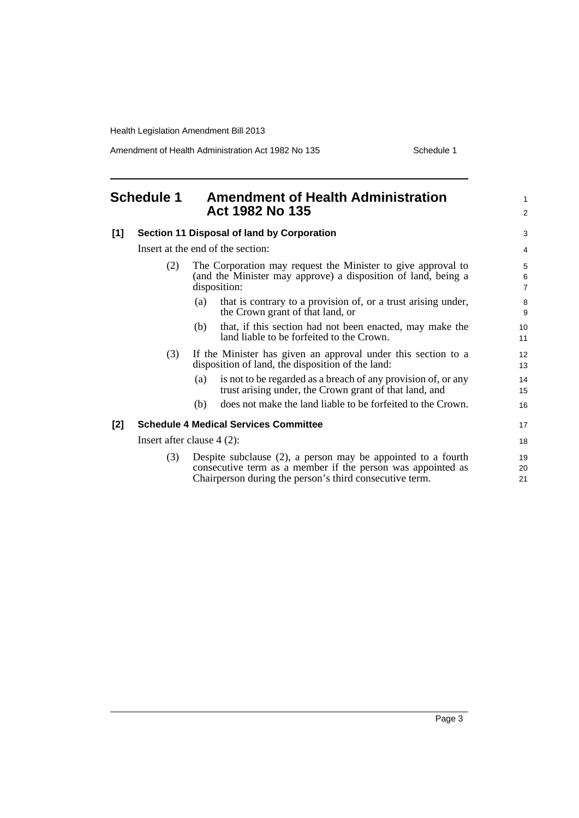Amendment of Health Administration Act 1982 No 135 Schedule 1

<span id="page-8-0"></span>

| <b>Schedule 1</b> |                                              | <b>Amendment of Health Administration</b><br>Act 1982 No 135                                                                                                                              |                          |  |  |
|-------------------|----------------------------------------------|-------------------------------------------------------------------------------------------------------------------------------------------------------------------------------------------|--------------------------|--|--|
| $[1]$             |                                              | Section 11 Disposal of land by Corporation                                                                                                                                                |                          |  |  |
|                   |                                              | Insert at the end of the section:                                                                                                                                                         | 4                        |  |  |
|                   | (2)                                          | The Corporation may request the Minister to give approval to<br>(and the Minister may approve) a disposition of land, being a<br>disposition:                                             | 5<br>6<br>$\overline{7}$ |  |  |
|                   |                                              | that is contrary to a provision of, or a trust arising under,<br>(a)<br>the Crown grant of that land, or                                                                                  | 8<br>9                   |  |  |
|                   |                                              | that, if this section had not been enacted, may make the<br>(b)<br>land liable to be forfeited to the Crown.                                                                              | 10<br>11                 |  |  |
|                   | (3)                                          | If the Minister has given an approval under this section to a<br>disposition of land, the disposition of the land:                                                                        | 12<br>13                 |  |  |
|                   |                                              | is not to be regarded as a breach of any provision of, or any<br>(a)<br>trust arising under, the Crown grant of that land, and                                                            | 14<br>15                 |  |  |
|                   |                                              | does not make the land liable to be forfeited to the Crown.<br>(b)                                                                                                                        | 16                       |  |  |
| [2]               | <b>Schedule 4 Medical Services Committee</b> |                                                                                                                                                                                           |                          |  |  |
|                   |                                              | Insert after clause $4(2)$ :                                                                                                                                                              | 18                       |  |  |
|                   | (3)                                          | Despite subclause $(2)$ , a person may be appointed to a fourth<br>consecutive term as a member if the person was appointed as<br>Chairperson during the person's third consecutive term. | 19<br>20<br>21           |  |  |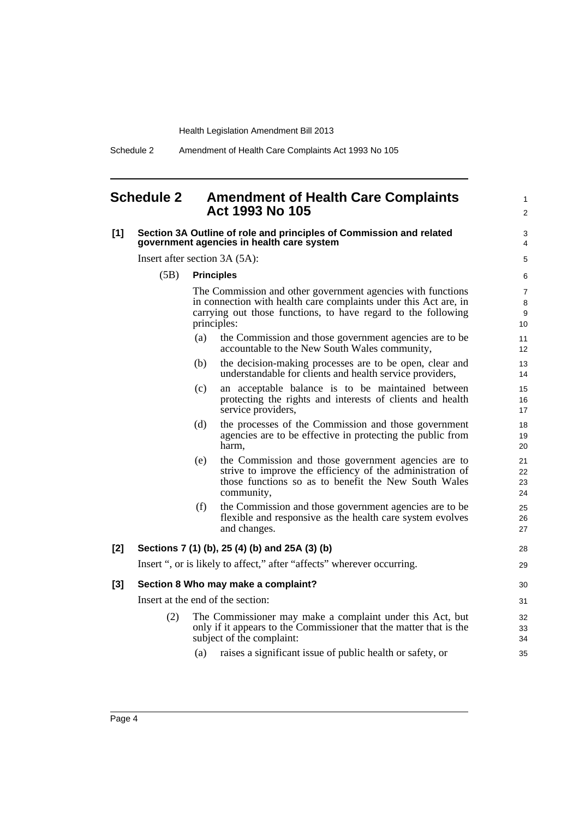Schedule 2 Amendment of Health Care Complaints Act 1993 No 105

#### <span id="page-9-0"></span>**Schedule 2 Amendment of Health Care Complaints Act 1993 No 105**

#### **[1] Section 3A Outline of role and principles of Commission and related government agencies in health care system**

Insert after section 3A (5A):

(5B) **Principles**

The Commission and other government agencies with functions in connection with health care complaints under this Act are, in carrying out those functions, to have regard to the following principles:

1  $\mathfrak{p}$ 

28 29

- (a) the Commission and those government agencies are to be accountable to the New South Wales community,
- (b) the decision-making processes are to be open, clear and understandable for clients and health service providers,
- (c) an acceptable balance is to be maintained between protecting the rights and interests of clients and health service providers,
- (d) the processes of the Commission and those government agencies are to be effective in protecting the public from harm,
- (e) the Commission and those government agencies are to strive to improve the efficiency of the administration of those functions so as to benefit the New South Wales community,
- (f) the Commission and those government agencies are to be flexible and responsive as the health care system evolves and changes.

#### **[2] Sections 7 (1) (b), 25 (4) (b) and 25A (3) (b)**

Insert ", or is likely to affect," after "affects" wherever occurring.

#### **[3] Section 8 Who may make a complaint?**

Insert at the end of the section:

- (2) The Commissioner may make a complaint under this Act, but only if it appears to the Commissioner that the matter that is the subject of the complaint:
	- (a) raises a significant issue of public health or safety, or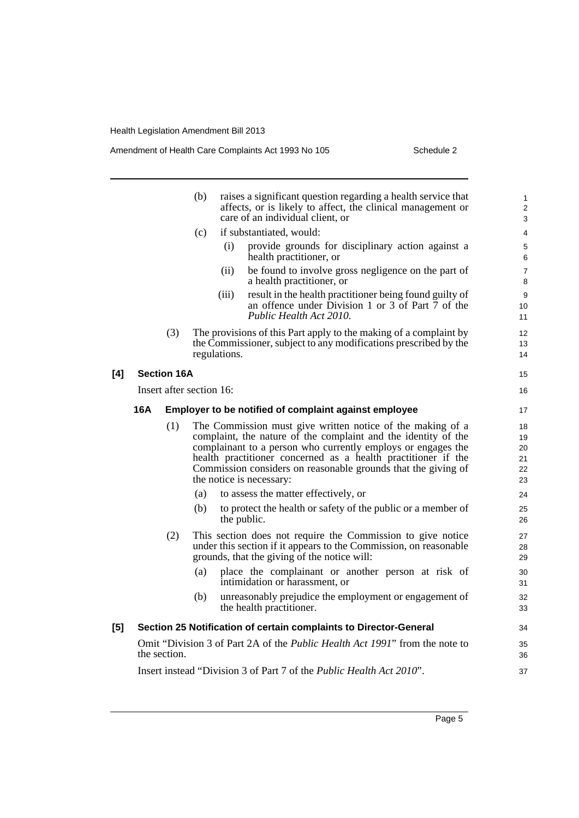#### Amendment of Health Care Complaints Act 1993 No 105 Schedule 2

|     |                          |     | (b) |              | raises a significant question regarding a health service that<br>affects, or is likely to affect, the clinical management or<br>care of an individual client, or                                                                                                                                                                                           | $\mathbf{1}$<br>2<br>3           |
|-----|--------------------------|-----|-----|--------------|------------------------------------------------------------------------------------------------------------------------------------------------------------------------------------------------------------------------------------------------------------------------------------------------------------------------------------------------------------|----------------------------------|
|     |                          |     | (c) |              | if substantiated, would:                                                                                                                                                                                                                                                                                                                                   | $\overline{4}$                   |
|     |                          |     |     | (i)          | provide grounds for disciplinary action against a<br>health practitioner, or                                                                                                                                                                                                                                                                               | 5<br>6                           |
|     |                          |     |     | (ii)         | be found to involve gross negligence on the part of<br>a health practitioner, or                                                                                                                                                                                                                                                                           | $\overline{7}$<br>8              |
|     |                          |     |     | (iii)        | result in the health practitioner being found guilty of<br>an offence under Division 1 or 3 of Part 7 of the<br>Public Health Act 2010.                                                                                                                                                                                                                    | 9<br>10<br>11                    |
|     |                          | (3) |     | regulations. | The provisions of this Part apply to the making of a complaint by<br>the Commissioner, subject to any modifications prescribed by the                                                                                                                                                                                                                      | 12<br>13<br>14                   |
| [4] | <b>Section 16A</b>       |     |     |              |                                                                                                                                                                                                                                                                                                                                                            | 15                               |
|     | Insert after section 16: |     |     |              |                                                                                                                                                                                                                                                                                                                                                            | 16                               |
|     | 16A                      |     |     |              | Employer to be notified of complaint against employee                                                                                                                                                                                                                                                                                                      | 17                               |
|     |                          | (1) |     |              | The Commission must give written notice of the making of a<br>complaint, the nature of the complaint and the identity of the<br>complainant to a person who currently employs or engages the<br>health practitioner concerned as a health practitioner if the<br>Commission considers on reasonable grounds that the giving of<br>the notice is necessary: | 18<br>19<br>20<br>21<br>22<br>23 |
|     |                          |     | (a) |              | to assess the matter effectively, or                                                                                                                                                                                                                                                                                                                       | 24                               |
|     |                          |     | (b) | the public.  | to protect the health or safety of the public or a member of                                                                                                                                                                                                                                                                                               | 25<br>26                         |
|     |                          | (2) |     |              | This section does not require the Commission to give notice<br>under this section if it appears to the Commission, on reasonable<br>grounds, that the giving of the notice will:                                                                                                                                                                           | 27<br>28<br>29                   |
|     |                          |     | (a) |              | place the complainant or another person at risk of<br>intimidation or harassment, or                                                                                                                                                                                                                                                                       | 30<br>31                         |
|     |                          |     | (b) |              | unreasonably prejudice the employment or engagement of<br>the health practitioner.                                                                                                                                                                                                                                                                         | 32<br>33                         |
| [5] |                          |     |     |              | Section 25 Notification of certain complaints to Director-General                                                                                                                                                                                                                                                                                          | 34                               |
|     | the section.             |     |     |              | Omit "Division 3 of Part 2A of the <i>Public Health Act 1991</i> " from the note to                                                                                                                                                                                                                                                                        | 35<br>36                         |
|     |                          |     |     |              | Insert instead "Division 3 of Part 7 of the <i>Public Health Act 2010"</i> .                                                                                                                                                                                                                                                                               | 37                               |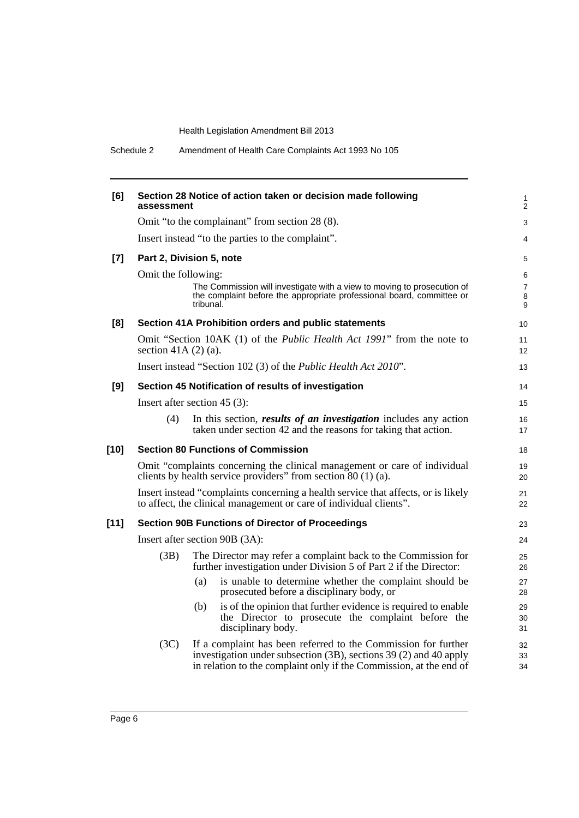Schedule 2 Amendment of Health Care Complaints Act 1993 No 105

| [6]    | assessment                                                                                                                                              |           | Section 28 Notice of action taken or decision made following                                                                                                                                              | 1<br>$\overline{2}$      |  |
|--------|---------------------------------------------------------------------------------------------------------------------------------------------------------|-----------|-----------------------------------------------------------------------------------------------------------------------------------------------------------------------------------------------------------|--------------------------|--|
|        |                                                                                                                                                         |           | Omit "to the complainant" from section 28 (8).                                                                                                                                                            | 3                        |  |
|        |                                                                                                                                                         |           | Insert instead "to the parties to the complaint".                                                                                                                                                         | 4                        |  |
| $[7]$  | Part 2, Division 5, note                                                                                                                                |           |                                                                                                                                                                                                           | 5                        |  |
|        | Omit the following:                                                                                                                                     |           |                                                                                                                                                                                                           | 6                        |  |
|        |                                                                                                                                                         | tribunal. | The Commission will investigate with a view to moving to prosecution of<br>the complaint before the appropriate professional board, committee or                                                          | $\overline{7}$<br>8<br>9 |  |
| [8]    |                                                                                                                                                         |           | Section 41A Prohibition orders and public statements                                                                                                                                                      | 10 <sup>°</sup>          |  |
|        | section 41A $(2)$ $(a)$ .                                                                                                                               |           | Omit "Section 10AK (1) of the Public Health Act 1991" from the note to                                                                                                                                    | 11<br>12 <sup>2</sup>    |  |
|        |                                                                                                                                                         |           | Insert instead "Section 102 (3) of the <i>Public Health Act 2010</i> ".                                                                                                                                   | 13                       |  |
| [9]    |                                                                                                                                                         |           | Section 45 Notification of results of investigation                                                                                                                                                       | 14                       |  |
|        | Insert after section $45(3)$ :                                                                                                                          |           |                                                                                                                                                                                                           | 15                       |  |
|        | (4)                                                                                                                                                     |           | In this section, <i>results of an investigation</i> includes any action<br>taken under section 42 and the reasons for taking that action.                                                                 | 16<br>17                 |  |
| $[10]$ |                                                                                                                                                         |           | <b>Section 80 Functions of Commission</b>                                                                                                                                                                 | 18                       |  |
|        |                                                                                                                                                         |           | Omit "complaints concerning the clinical management or care of individual<br>clients by health service providers" from section 80 (1) (a).                                                                | 19<br>20                 |  |
|        | Insert instead "complaints concerning a health service that affects, or is likely<br>to affect, the clinical management or care of individual clients". |           |                                                                                                                                                                                                           |                          |  |
| $[11]$ | <b>Section 90B Functions of Director of Proceedings</b>                                                                                                 |           |                                                                                                                                                                                                           |                          |  |
|        | Insert after section 90B (3A):                                                                                                                          |           |                                                                                                                                                                                                           |                          |  |
|        | (3B)                                                                                                                                                    |           | The Director may refer a complaint back to the Commission for<br>further investigation under Division 5 of Part 2 if the Director:                                                                        | 25<br>26                 |  |
|        |                                                                                                                                                         | (a)       | is unable to determine whether the complaint should be<br>prosecuted before a disciplinary body, or                                                                                                       | 27<br>28                 |  |
|        |                                                                                                                                                         | (b)       | is of the opinion that further evidence is required to enable<br>the Director to prosecute the complaint before the<br>disciplinary body.                                                                 | 29<br>30<br>31           |  |
|        | (3C)                                                                                                                                                    |           | If a complaint has been referred to the Commission for further<br>investigation under subsection (3B), sections 39 (2) and 40 apply<br>in relation to the complaint only if the Commission, at the end of | 32<br>33<br>34           |  |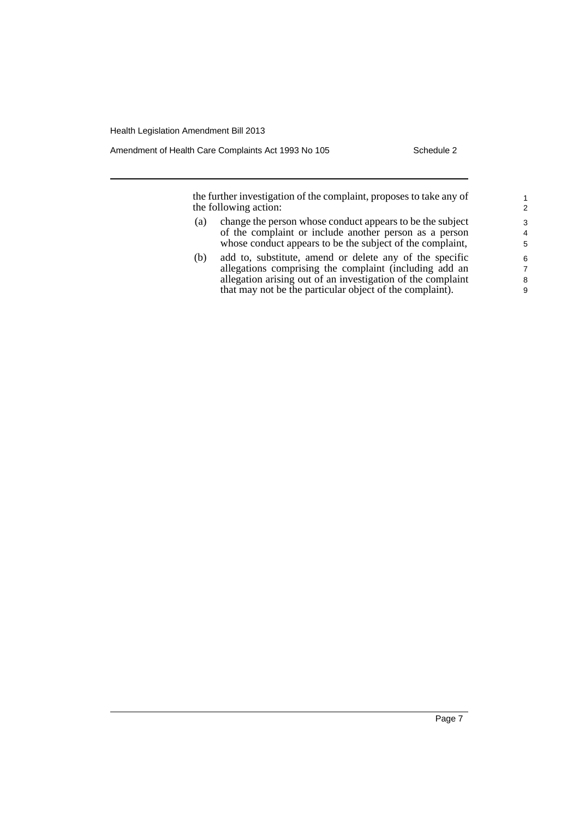Amendment of Health Care Complaints Act 1993 No 105 Schedule 2

the further investigation of the complaint, proposes to take any of the following action:

- (a) change the person whose conduct appears to be the subject of the complaint or include another person as a person whose conduct appears to be the subject of the complaint,
- (b) add to, substitute, amend or delete any of the specific allegations comprising the complaint (including add an allegation arising out of an investigation of the complaint that may not be the particular object of the complaint).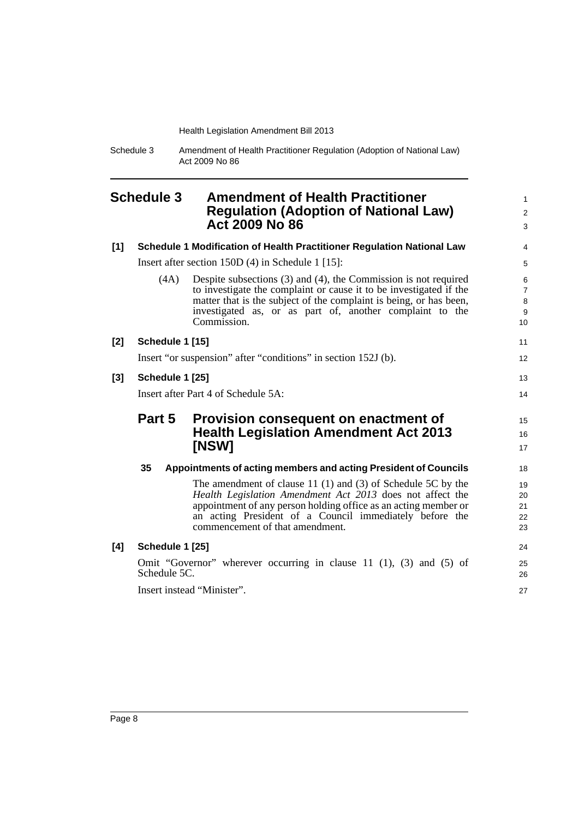Schedule 3 Amendment of Health Practitioner Regulation (Adoption of National Law) Act 2009 No 86

## <span id="page-13-0"></span>**Schedule 3 Amendment of Health Practitioner Regulation (Adoption of National Law) Act 2009 No 86**

| [1]   |                 | Schedule 1 Modification of Health Practitioner Regulation National Law                                                                                                                                                                                                                         | 4                                                     |
|-------|-----------------|------------------------------------------------------------------------------------------------------------------------------------------------------------------------------------------------------------------------------------------------------------------------------------------------|-------------------------------------------------------|
|       |                 | Insert after section $150D(4)$ in Schedule 1 [15]:                                                                                                                                                                                                                                             | 5                                                     |
|       | (4A)            | Despite subsections $(3)$ and $(4)$ , the Commission is not required<br>to investigate the complaint or cause it to be investigated if the<br>matter that is the subject of the complaint is being, or has been,<br>investigated as, or as part of, another complaint to the<br>Commission.    | 6<br>$\overline{7}$<br>$\bf8$<br>9<br>10 <sup>1</sup> |
| $[2]$ | Schedule 1 [15] |                                                                                                                                                                                                                                                                                                | 11                                                    |
|       |                 | Insert "or suspension" after "conditions" in section 152J (b).                                                                                                                                                                                                                                 | 12 <sup>2</sup>                                       |
| $[3]$ | Schedule 1 [25] |                                                                                                                                                                                                                                                                                                | 13                                                    |
|       |                 | Insert after Part 4 of Schedule 5A:                                                                                                                                                                                                                                                            | 14                                                    |
|       |                 |                                                                                                                                                                                                                                                                                                |                                                       |
|       | Part 5          | Provision consequent on enactment of<br><b>Health Legislation Amendment Act 2013</b><br>[NSW]                                                                                                                                                                                                  | 15<br>16<br>17                                        |
|       | 35              | Appointments of acting members and acting President of Councils                                                                                                                                                                                                                                | 18                                                    |
|       |                 | The amendment of clause 11 $(1)$ and $(3)$ of Schedule 5C by the<br>Health Legislation Amendment Act 2013 does not affect the<br>appointment of any person holding office as an acting member or<br>an acting President of a Council immediately before the<br>commencement of that amendment. |                                                       |
| [4]   | Schedule 1 [25] |                                                                                                                                                                                                                                                                                                | 24                                                    |
|       | Schedule 5C.    | Omit "Governor" wherever occurring in clause 11 $(1)$ , $(3)$ and $(5)$ of                                                                                                                                                                                                                     | 19<br>20<br>21<br>22<br>23<br>25<br>26                |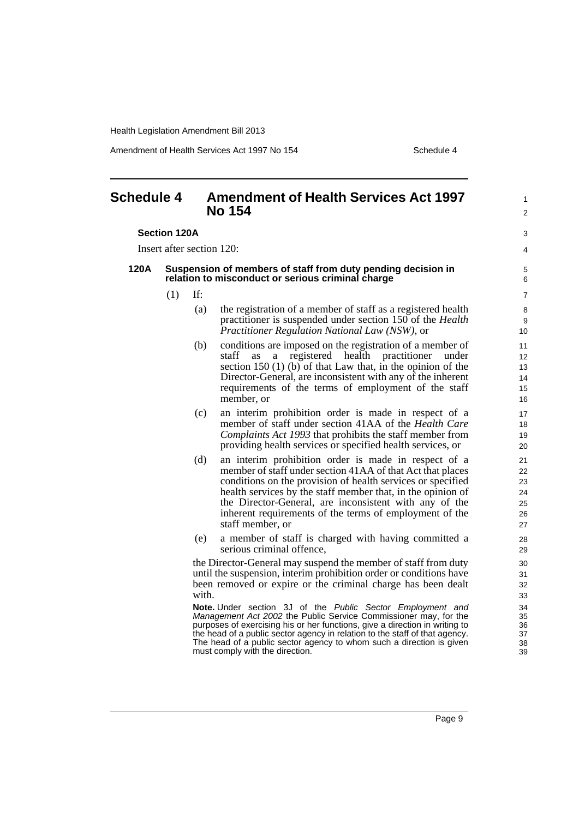Amendment of Health Services Act 1997 No 154 Schedule 4

1  $\mathfrak{p}$ 

 $\overline{a}$ 4

## <span id="page-14-0"></span>**Schedule 4 Amendment of Health Services Act 1997 No 154**

#### **Section 120A**

Insert after section 120:

#### **120A Suspension of members of staff from duty pending decision in relation to misconduct or serious criminal charge**

- $(1)$  If:
	- (a) the registration of a member of staff as a registered health practitioner is suspended under section 150 of the *Health Practitioner Regulation National Law (NSW)*, or
	- (b) conditions are imposed on the registration of a member of staff as a registered health practitioner under section 150 (1) (b) of that Law that, in the opinion of the Director-General, are inconsistent with any of the inherent requirements of the terms of employment of the staff member, or
	- (c) an interim prohibition order is made in respect of a member of staff under section 41AA of the *Health Care Complaints Act 1993* that prohibits the staff member from providing health services or specified health services, or
	- (d) an interim prohibition order is made in respect of a member of staff under section 41AA of that Act that places conditions on the provision of health services or specified health services by the staff member that, in the opinion of the Director-General, are inconsistent with any of the inherent requirements of the terms of employment of the staff member, or
	- (e) a member of staff is charged with having committed a serious criminal offence,

the Director-General may suspend the member of staff from duty until the suspension, interim prohibition order or conditions have been removed or expire or the criminal charge has been dealt with.

**Note.** Under section 3J of the *Public Sector Employment and Management Act 2002* the Public Service Commissioner may, for the purposes of exercising his or her functions, give a direction in writing to the head of a public sector agency in relation to the staff of that agency. The head of a public sector agency to whom such a direction is given must comply with the direction.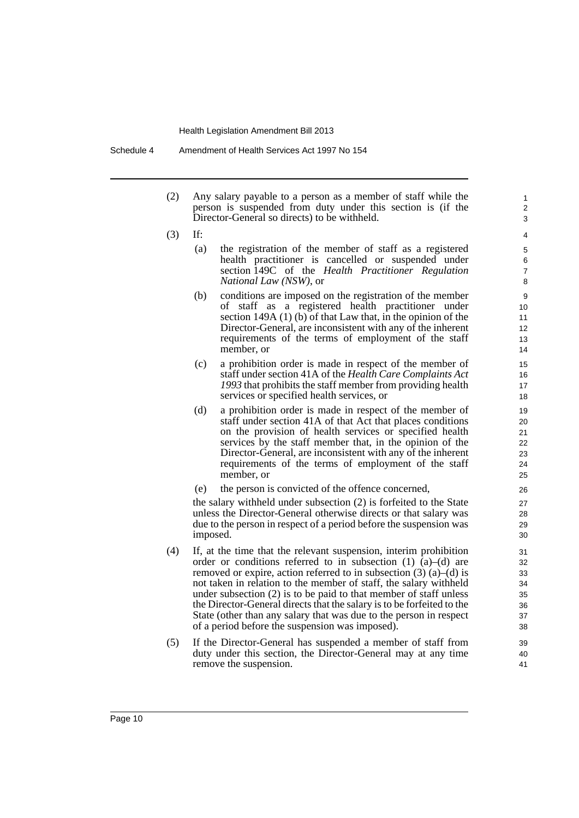- (2) Any salary payable to a person as a member of staff while the person is suspended from duty under this section is (if the Director-General so directs) to be withheld.
- (3) If:
	- (a) the registration of the member of staff as a registered health practitioner is cancelled or suspended under section 149C of the *Health Practitioner Regulation National Law (NSW)*, or

- (b) conditions are imposed on the registration of the member of staff as a registered health practitioner under section 149A (1) (b) of that Law that, in the opinion of the Director-General, are inconsistent with any of the inherent requirements of the terms of employment of the staff member, or
- (c) a prohibition order is made in respect of the member of staff under section 41A of the *Health Care Complaints Act 1993* that prohibits the staff member from providing health services or specified health services, or
- (d) a prohibition order is made in respect of the member of staff under section 41A of that Act that places conditions on the provision of health services or specified health services by the staff member that, in the opinion of the Director-General, are inconsistent with any of the inherent requirements of the terms of employment of the staff member, or
- (e) the person is convicted of the offence concerned,

the salary withheld under subsection (2) is forfeited to the State unless the Director-General otherwise directs or that salary was due to the person in respect of a period before the suspension was imposed.

- (4) If, at the time that the relevant suspension, interim prohibition order or conditions referred to in subsection (1)  $\hat{a}$ –(d) are removed or expire, action referred to in subsection  $(3)$   $(a)$ – $(d)$  is not taken in relation to the member of staff, the salary withheld under subsection (2) is to be paid to that member of staff unless the Director-General directs that the salary is to be forfeited to the State (other than any salary that was due to the person in respect of a period before the suspension was imposed).
- (5) If the Director-General has suspended a member of staff from duty under this section, the Director-General may at any time remove the suspension.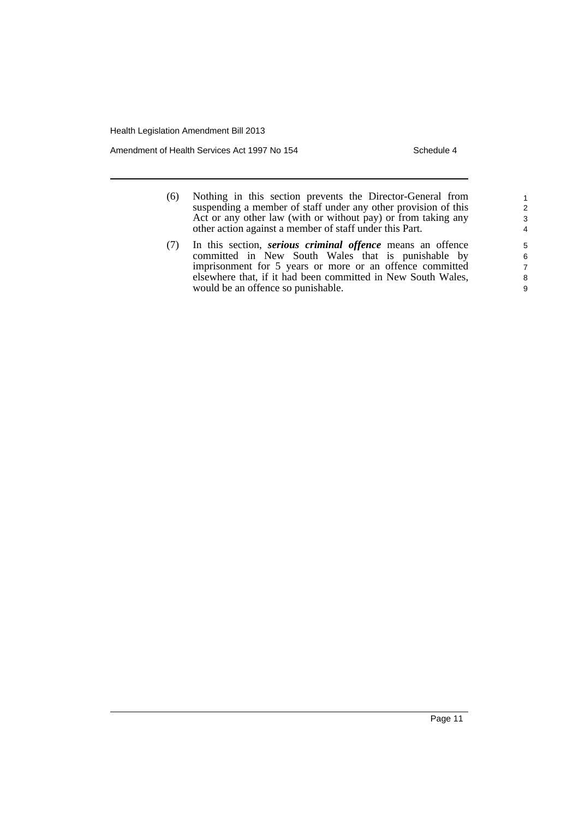Amendment of Health Services Act 1997 No 154

- (6) Nothing in this section prevents the Director-General from suspending a member of staff under any other provision of this Act or any other law (with or without pay) or from taking any other action against a member of staff under this Part.
- (7) In this section, *serious criminal offence* means an offence committed in New South Wales that is punishable by imprisonment for 5 years or more or an offence committed elsewhere that, if it had been committed in New South Wales, would be an offence so punishable.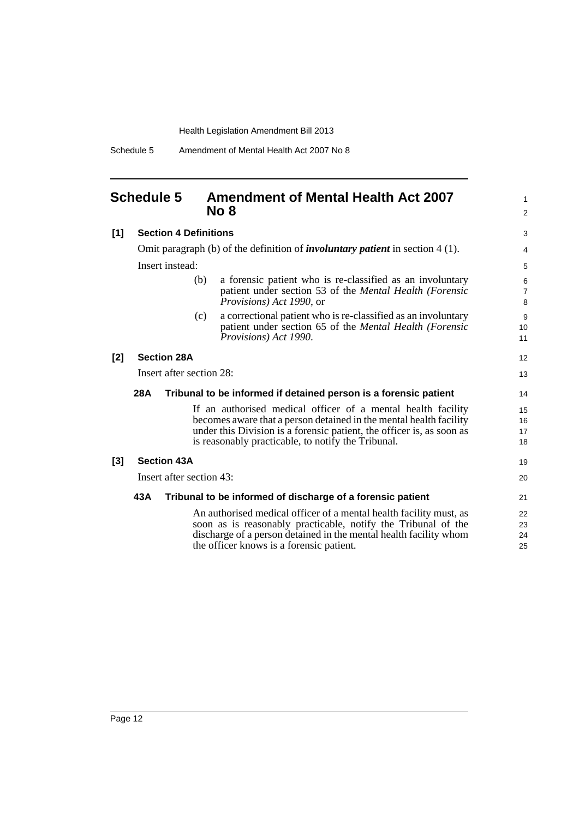Schedule 5 Amendment of Mental Health Act 2007 No 8

## <span id="page-17-0"></span>**Schedule 5 Amendment of Mental Health Act 2007 No 8**

| [1]   | <b>Section 4 Definitions</b>                                                           |                                                            |                                                                                                                                                                                                                                                                   | 3                        |
|-------|----------------------------------------------------------------------------------------|------------------------------------------------------------|-------------------------------------------------------------------------------------------------------------------------------------------------------------------------------------------------------------------------------------------------------------------|--------------------------|
|       | Omit paragraph (b) of the definition of <i>involuntary patient</i> in section $4(1)$ . |                                                            |                                                                                                                                                                                                                                                                   |                          |
|       |                                                                                        | Insert instead:                                            |                                                                                                                                                                                                                                                                   | 5                        |
|       |                                                                                        | (b)                                                        | a forensic patient who is re-classified as an involuntary<br>patient under section 53 of the Mental Health (Forensic<br><i>Provisions</i> ) <i>Act 1990</i> , or                                                                                                  | 6<br>$\overline{7}$<br>8 |
|       |                                                                                        | (c)                                                        | a correctional patient who is re-classified as an involuntary<br>patient under section 65 of the <i>Mental Health</i> ( <i>Forensic</i><br>Provisions) Act 1990.                                                                                                  | 9<br>10<br>11            |
| $[2]$ |                                                                                        | <b>Section 28A</b>                                         |                                                                                                                                                                                                                                                                   | 12                       |
|       |                                                                                        | Insert after section 28:                                   |                                                                                                                                                                                                                                                                   | 13                       |
|       | 28A<br>Tribunal to be informed if detained person is a forensic patient                |                                                            |                                                                                                                                                                                                                                                                   | 14                       |
|       |                                                                                        |                                                            | If an authorised medical officer of a mental health facility<br>becomes aware that a person detained in the mental health facility<br>under this Division is a forensic patient, the officer is, as soon as<br>is reasonably practicable, to notify the Tribunal. | 15<br>16<br>17<br>18     |
| $[3]$ |                                                                                        | <b>Section 43A</b>                                         |                                                                                                                                                                                                                                                                   | 19                       |
|       | Insert after section 43:                                                               |                                                            |                                                                                                                                                                                                                                                                   |                          |
|       | 43A                                                                                    | Tribunal to be informed of discharge of a forensic patient |                                                                                                                                                                                                                                                                   | 21                       |
|       |                                                                                        |                                                            | An authorised medical officer of a mental health facility must, as<br>soon as is reasonably practicable, notify the Tribunal of the<br>discharge of a person detained in the mental health facility whom<br>the officer knows is a forensic patient.              | 22<br>23<br>24<br>25     |